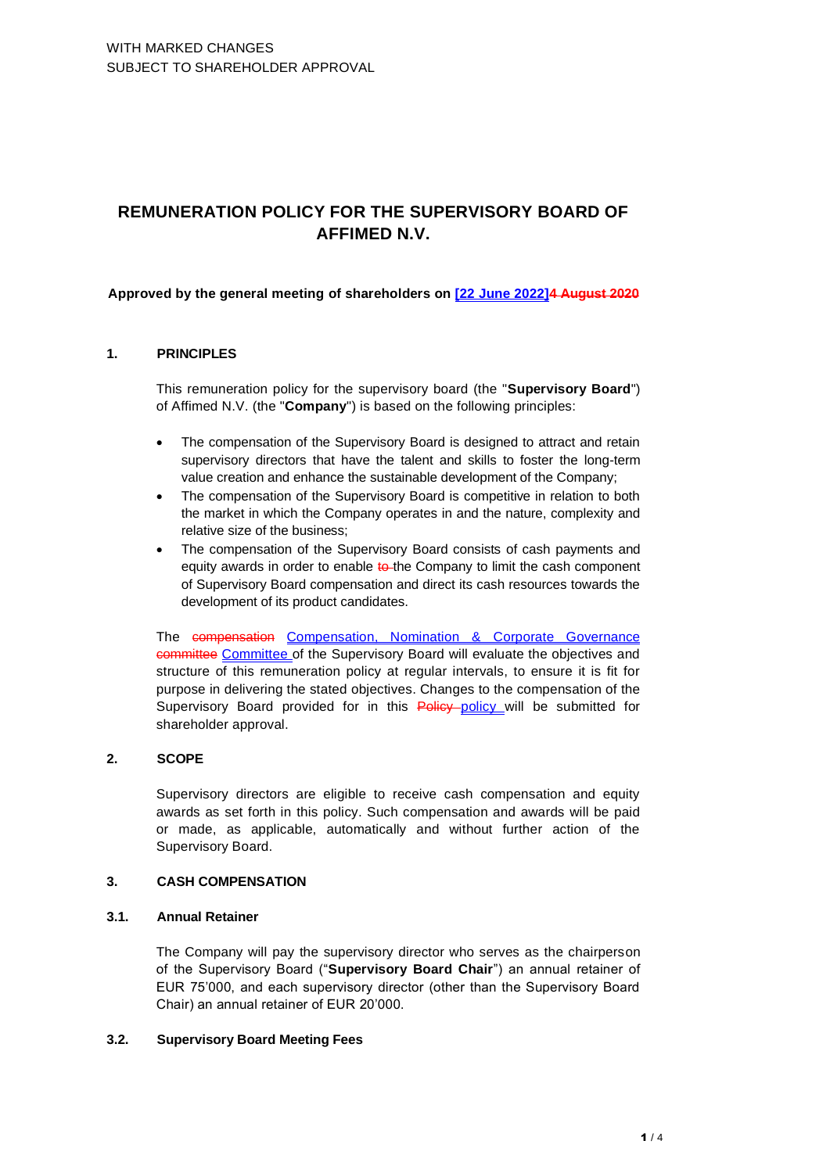# **REMUNERATION POLICY FOR THE SUPERVISORY BOARD OF AFFIMED N.V.**

## **Approved by the general meeting of shareholders on [22 June 2022]4 August 2020**

## **1. PRINCIPLES**

This remuneration policy for the supervisory board (the "**Supervisory Board**") of Affimed N.V. (the "**Company**") is based on the following principles:

- The compensation of the Supervisory Board is designed to attract and retain supervisory directors that have the talent and skills to foster the long-term value creation and enhance the sustainable development of the Company;
- The compensation of the Supervisory Board is competitive in relation to both the market in which the Company operates in and the nature, complexity and relative size of the business;
- The compensation of the Supervisory Board consists of cash payments and equity awards in order to enable to the Company to limit the cash component of Supervisory Board compensation and direct its cash resources towards the development of its product candidates.

The compensation Compensation, Nomination & Corporate Governance committee Committee of the Supervisory Board will evaluate the objectives and structure of this remuneration policy at regular intervals, to ensure it is fit for purpose in delivering the stated objectives. Changes to the compensation of the Supervisory Board provided for in this Policy policy will be submitted for shareholder approval.

# **2. SCOPE**

Supervisory directors are eligible to receive cash compensation and equity awards as set forth in this policy. Such compensation and awards will be paid or made, as applicable, automatically and without further action of the Supervisory Board.

## **3. CASH COMPENSATION**

### **3.1. Annual Retainer**

The Company will pay the supervisory director who serves as the chairperson of the Supervisory Board ("**Supervisory Board Chair**") an annual retainer of EUR 75'000, and each supervisory director (other than the Supervisory Board Chair) an annual retainer of EUR 20'000.

### **3.2. Supervisory Board Meeting Fees**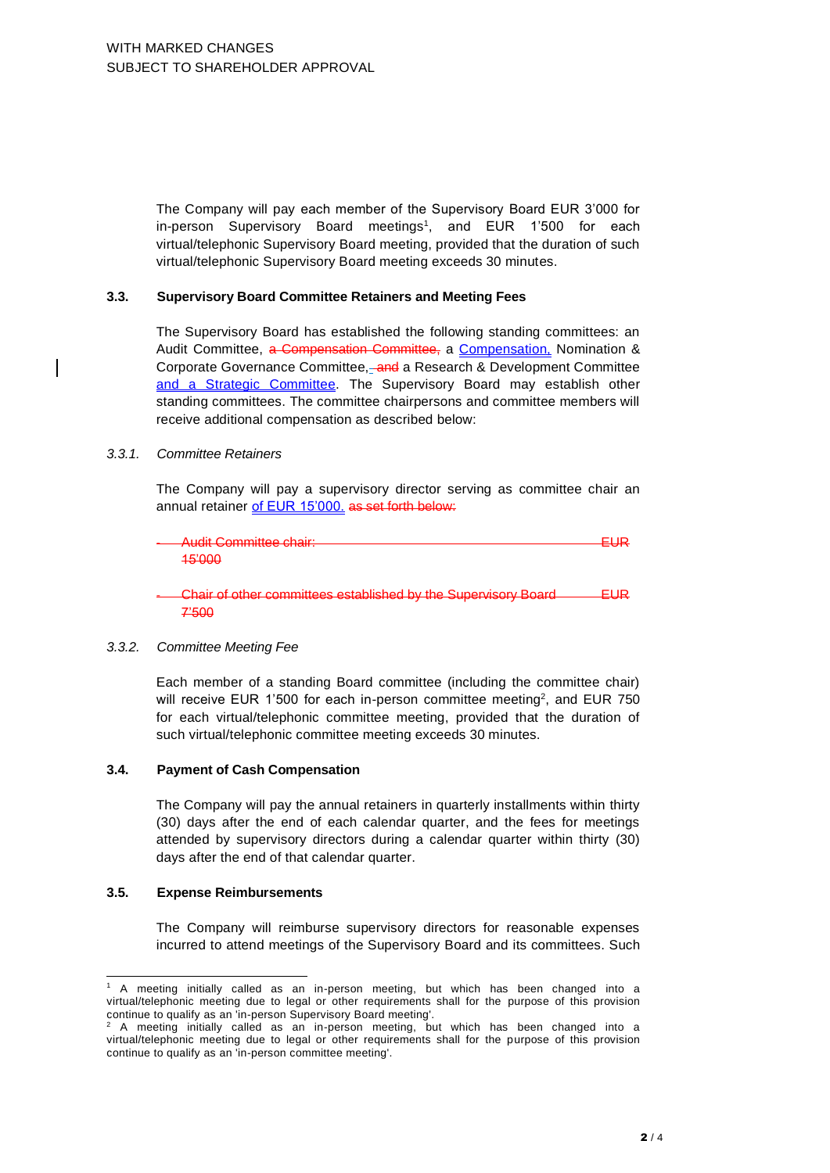The Company will pay each member of the Supervisory Board EUR 3'000 for in-person Supervisory Board meetings<sup>1</sup>, and EUR 1'500 for each virtual/telephonic Supervisory Board meeting, provided that the duration of such virtual/telephonic Supervisory Board meeting exceeds 30 minutes.

#### **3.3. Supervisory Board Committee Retainers and Meeting Fees**

The Supervisory Board has established the following standing committees: an Audit Committee, a Compensation Committee, a Compensation, Nomination & Corporate Governance Committee, and a Research & Development Committee and a Strategic Committee. The Supervisory Board may establish other standing committees. The committee chairpersons and committee members will receive additional compensation as described below:

#### *3.3.1. Committee Retainers*

The Company will pay a supervisory director serving as committee chair an annual retainer of EUR 15'000, as set forth below:

| Audit Committee chair:<br>—— Audit Committee of all. | --- |
|------------------------------------------------------|-----|
|                                                      |     |
| <del>,,,,,,,</del>                                   |     |

Chair of other committees established by the Supervisory Board **EUR** 7'500

### *3.3.2. Committee Meeting Fee*

Each member of a standing Board committee (including the committee chair) will receive EUR 1'500 for each in-person committee meeting<sup>2</sup>, and EUR 750 for each virtual/telephonic committee meeting, provided that the duration of such virtual/telephonic committee meeting exceeds 30 minutes.

### **3.4. Payment of Cash Compensation**

The Company will pay the annual retainers in quarterly installments within thirty (30) days after the end of each calendar quarter, and the fees for meetings attended by supervisory directors during a calendar quarter within thirty (30) days after the end of that calendar quarter.

### **3.5. Expense Reimbursements**

The Company will reimburse supervisory directors for reasonable expenses incurred to attend meetings of the Supervisory Board and its committees. Such

<sup>1</sup> A meeting initially called as an in-person meeting, but which has been changed into a virtual/telephonic meeting due to legal or other requirements shall for the purpose of this provision continue to qualify as an 'in-person Supervisory Board meeting'.<br>
<sup>2</sup> A meeting initially celled as Supervisory Board meeting'.

<sup>2</sup> A meeting initially called as an in-person meeting, but which has been changed into a virtual/telephonic meeting due to legal or other requirements shall for the purpose of this provision continue to qualify as an 'in-person committee meeting'.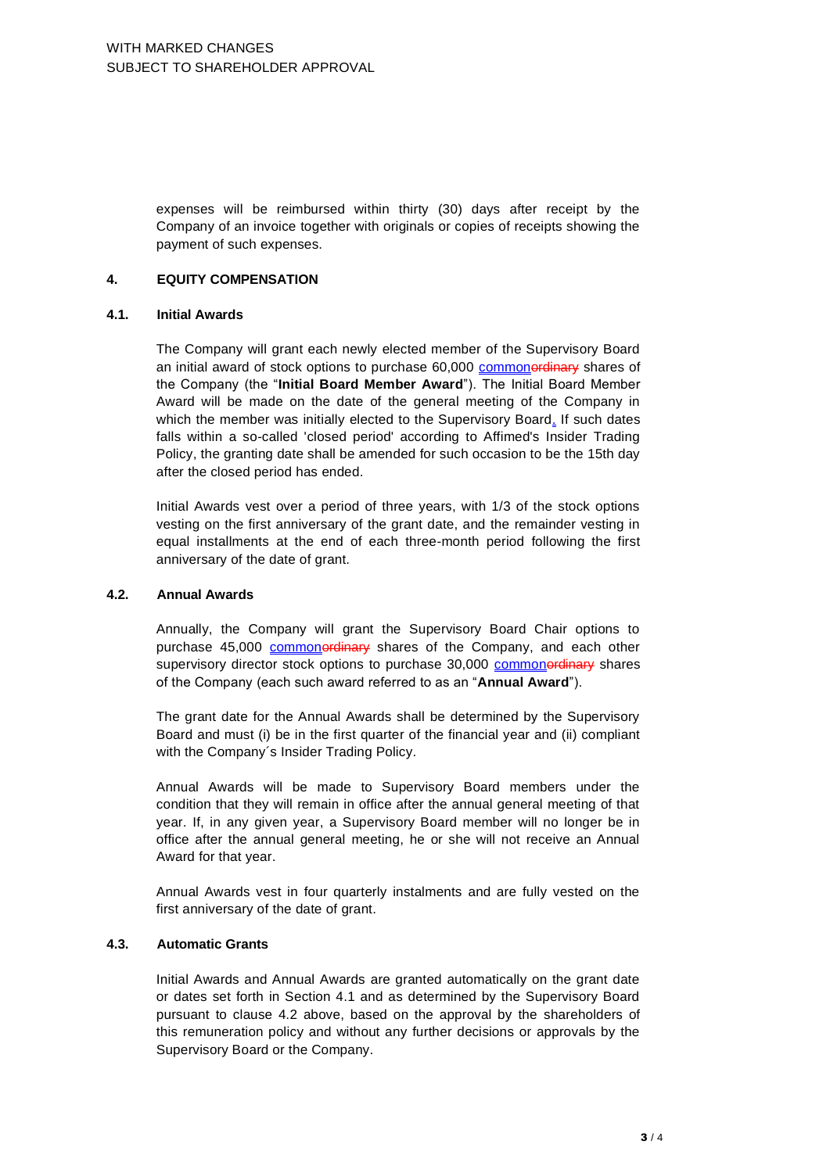expenses will be reimbursed within thirty (30) days after receipt by the Company of an invoice together with originals or copies of receipts showing the payment of such expenses.

## **4. EQUITY COMPENSATION**

## **4.1. Initial Awards**

The Company will grant each newly elected member of the Supervisory Board an initial award of stock options to purchase 60,000 commonordinary shares of the Company (the "**Initial Board Member Award**"). The Initial Board Member Award will be made on the date of the general meeting of the Company in which the member was initially elected to the Supervisory Board. If such dates falls within a so-called 'closed period' according to Affimed's Insider Trading Policy, the granting date shall be amended for such occasion to be the 15th day after the closed period has ended.

Initial Awards vest over a period of three years, with 1/3 of the stock options vesting on the first anniversary of the grant date, and the remainder vesting in equal installments at the end of each three-month period following the first anniversary of the date of grant.

### **4.2. Annual Awards**

Annually, the Company will grant the Supervisory Board Chair options to purchase 45,000 commonerdinary shares of the Company, and each other supervisory director stock options to purchase 30,000 commonerdinary shares of the Company (each such award referred to as an "**Annual Award**").

The grant date for the Annual Awards shall be determined by the Supervisory Board and must (i) be in the first quarter of the financial year and (ii) compliant with the Company´s Insider Trading Policy.

Annual Awards will be made to Supervisory Board members under the condition that they will remain in office after the annual general meeting of that year. If, in any given year, a Supervisory Board member will no longer be in office after the annual general meeting, he or she will not receive an Annual Award for that year.

Annual Awards vest in four quarterly instalments and are fully vested on the first anniversary of the date of grant.

## **4.3. Automatic Grants**

Initial Awards and Annual Awards are granted automatically on the grant date or dates set forth in Section 4.1 and as determined by the Supervisory Board pursuant to clause 4.2 above, based on the approval by the shareholders of this remuneration policy and without any further decisions or approvals by the Supervisory Board or the Company.